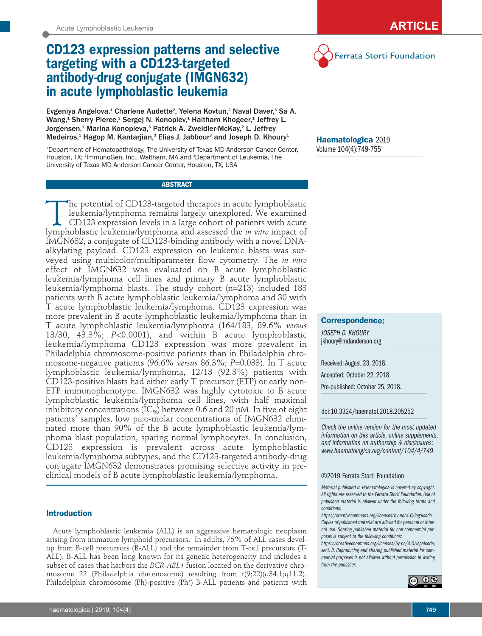# **CD123 expression patterns and selective targeting with a CD123-targeted antibody-drug conjugate (IMGN632) in acute lymphoblastic leukemia**

Evgeniya Angelova,<sup>1</sup> Charlene Audette<sup>2</sup>, Yelena Kovtun,<sup>2</sup> Naval Daver,<sup>3</sup> Sa A. Wang,<sup>1</sup> Sherry Pierce,<sup>3</sup> Sergej N. Konoplev,<sup>1</sup> Haitham Khogeer,<sup>1</sup> Jeffrey L. Jorgensen,<sup>1</sup> Marina Konopleva,<sup>3</sup> Patrick A. Zweidler-McKay,<sup>2</sup> L. Jeffrey Medeiros,<sup>1</sup> Hagop M. Kantarjian,<sup>3</sup> Elias J. Jabbour<sup>3</sup> and Joseph D. Khoury<sup>1</sup>

1 Department of Hematopathology, The University of Texas MD Anderson Cancer Center, Houston, TX; <sup>2</sup>ImmunoGen, Inc., Waltham, MA and <sup>3</sup>Department of Leukemia, The University of Texas MD Anderson Cancer Center, Houston, TX, USA

## **ABSTRACT**

The potential of CD123-targeted therapies in acute lymphoblastic<br>leukemia/lymphoma remains largely unexplored. We examined<br>CD123 expression levels in a large cohort of patients with acute<br>lymphoblastic leukemia/lymphoma an leukemia/lymphoma remains largely unexplored. We examined CD123 expression levels in a large cohort of patients with acute lymphoblastic leukemia/lymphoma and assessed the *in vitro* impact of IMGN632, a conjugate of CD123-binding antibody with a novel DNAalkylating payload. CD123 expression on leukemic blasts was surveyed using multicolor/multiparameter flow cytometry. The *in vitro* effect of IMGN632 was evaluated on B acute lymphoblastic leukemia/lymphoma cell lines and primary B acute lymphoblastic leukemia/lymphoma blasts. The study cohort (n=213) included 183 patients with B acute lymphoblastic leukemia/lymphoma and 30 with T acute lymphoblastic leukemia/lymphoma. CD123 expression was more prevalent in B acute lymphoblastic leukemia/lymphoma than in T acute lymphoblastic leukemia/lymphoma (164/183, 89.6% *versus* 13/30, 43.3%; *P*<0.0001), and within B acute lymphoblastic leukemia/lymphoma CD123 expression was more prevalent in Philadelphia chromosome-positive patients than in Philadelphia chromosome-negative patients (96.6% *versus* 86.3%; *P*=0.033). In T acute lymphoblastic leukemia/lymphoma, 12/13 (92.3%) patients with CD123-positive blasts had either early  $T$  precursor (ETP) or early non-ETP immunophenotype. IMGN632 was highly cytotoxic to B acute lymphoblastic leukemia/lymphoma cell lines, with half maximal inhibitory concentrations ( $IC_{50}$ ) between 0.6 and 20 pM. In five of eight patients' samples, low pico-molar concentrations of IMGN632 eliminated more than 90% of the B acute lymphoblastic leukemia/lymphoma blast population, sparing normal lymphocytes. In conclusion, CD123 expression is prevalent across acute lymphoblastic leukemia/lymphoma subtypes, and the CD123-targeted antibody-drug conjugate IMGN632 demonstrates promising selective activity in preclinical models of B acute lymphoblastic leukemia/lymphoma.

## **Introduction**

Acute lymphoblastic leukemia (ALL) is an aggressive hematologic neoplasm arising from immature lymphoid precursors. In adults, 75% of ALL cases develop from B-cell precursors (B-ALL) and the remainder from T-cell precursors (T-ALL). B-ALL has been long known for its genetic heterogeneity and includes a subset of cases that harbors the *BCR-ABL1* fusion located on the derivative chromosome 22 (Philadelphia chromosome) resulting from t(9;22)(q34.1;q11.2). Philadelphia chromosome (Ph)-positive (Ph+ ) B-ALL patients and patients with



**Haematologica** 2019 Volume 104(4):749-755

# **Correspondence:**

*JOSEPH D. KHOURY* jkhoury@mdanderson.org

Received: August 23, 2018. Accepted: October 22, 2018.

Pre-published: October 25, 2018.

#### doi:10.3324/haematol.2018.205252

*Check the online version for the most updated information on this article, online supplements, and information on authorship & disclosures: www.haematologica.org/content/104/4/749*

### ©2019 Ferrata Storti Foundation

*Material published in Haematologica is covered by copyright. All rights are reserved to the Ferrata Storti Foundation. Use of published material is allowed under the following terms and conditions:* 

*https://creativecommons.org/licenses/by-nc/4.0/legalcode. Copies of published material are allowed for personal or internal use. Sharing published material for non-commercial purposes is subject to the following conditions:* 

*https://creativecommons.org/licenses/by-nc/4.0/legalcode, sect. 3. Reproducing and sharing published material for commercial purposes is not allowed without permission in writing from the publisher.*

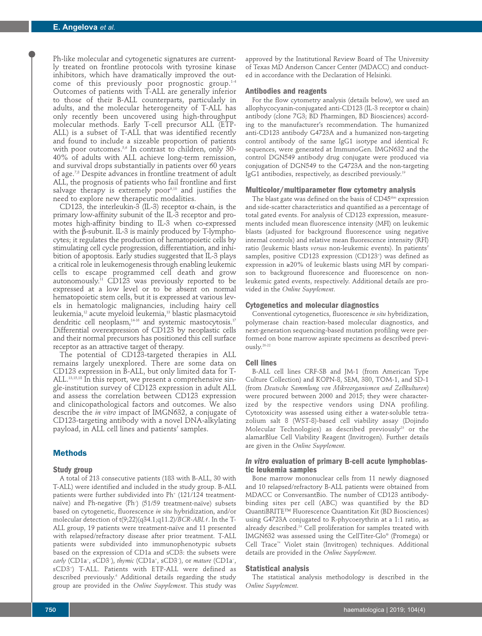Ph-like molecular and cytogenetic signatures are currently treated on frontline protocols with tyrosine kinase inhibitors, which have dramatically improved the outcome of this previously poor prognostic group.<sup>1-4</sup> Outcomes of patients with T-ALL are generally inferior to those of their B-ALL counterparts, particularly in adults, and the molecular heterogeneity of T-ALL has only recently been uncovered using high-throughput molecular methods. Early T-cell precursor ALL (ETP-ALL) is a subset of T-ALL that was identified recently and found to include a sizeable proportion of patients with poor outcomes.<sup>5,6</sup> In contrast to children, only 30-40% of adults with ALL achieve long-term remission, and survival drops substantially in patients over 60 years of age.7,8 Despite advances in frontline treatment of adult ALL, the prognosis of patients who fail frontline and first salvage therapy is extremely poor<sup>9,10</sup> and justifies the need to explore new therapeutic modalities.

CD123, the interleukin-3 (IL-3) receptor α-chain, is the primary low-affinity subunit of the IL-3 receptor and promotes high-affinity binding to IL-3 when co-expressed with the β-subunit. IL-3 is mainly produced by T-lymphocytes; it regulates the production of hematopoietic cells by stimulating cell cycle progression, differentiation, and inhibition of apoptosis. Early studies suggested that IL-3 plays a critical role in leukemogenesis through enabling leukemic cells to escape programmed cell death and grow autonomously.<sup>11</sup> CD123 was previously reported to be expressed at a low level or to be absent on normal hematopoietic stem cells, but it is expressed at various levels in hematologic malignancies, including hairy cell leukemia, $^{\scriptscriptstyle 12}$  acute myeloid leukemia, $^{\scriptscriptstyle 13}$  blastic plasmacytoid dendritic cell neoplasm,<sup>14-16</sup> and systemic mastocytosis.<sup>17</sup> Differential overexpression of CD123 by neoplastic cells and their normal precursors has positioned this cell surface receptor as an attractive target of therapy.

The potential of CD123-targeted therapies in ALL remains largely unexplored. There are some data on CD123 expression in B-ALL, but only limited data for T-ALL.13,15,18 In this report, we present a comprehensive single-institution survey of CD123 expression in adult ALL and assess the correlation between CD123 expression and clinicopathological factors and outcomes. We also describe the *in vitro* impact of IMGN632, a conjugate of CD123-targeting antibody with a novel DNA-alkylating payload, in ALL cell lines and patients' samples.

### **Methods**

#### **Study group**

A total of 213 consecutive patients (183 with B-ALL, 30 with T-ALL) were identified and included in the study group. B-ALL patients were further subdivided into Ph<sup>+</sup> (121/124 treatmentnaïve) and Ph-negative (Ph– ) (51/59 treatment-naïve) subsets based on cytogenetic, fluorescence *in situ* hybridization, and/or molecular detection of t(9;22)(q34.1;q11.2)/*BCR-ABL1*. In the T-ALL group, 19 patients were treatment-naïve and 11 presented with relapsed/refractory disease after prior treatment. T-ALL patients were subdivided into immunophenotypic subsets based on the expression of CD1a and sCD3: the subsets were *early* (CD1a− , sCD3− ), *thymic* (CD1a+ , sCD3− ), or *mature* (CD1a− , sCD3+ ) T-ALL. Patients with ETP-ALL were defined as described previously.<sup>6</sup> Additional details regarding the study group are provided in the *Online Supplement*. This study was

approved by the Institutional Review Board of The University of Texas MD Anderson Cancer Center (MDACC) and conducted in accordance with the Declaration of Helsinki.

#### **Antibodies and reagents**

For the flow cytometry analysis (details below), we used an allophycocyanin-conjugated anti-CD123 (IL-3 receptor  $\alpha$  chain) antibody (clone 7G3; BD Pharmingen, BD Biosciences) according to the manufacturer's recommendation. The humanized anti-CD123 antibody G4723A and a humanized non-targeting control antibody of the same IgG1 isotype and identical Fc sequences, were generated at ImmunoGen. IMGN632 and the control DGN549 antibody drug conjugate were produced via conjugation of DGN549 to the G4723A and the non-targeting IgG1 antibodies, respectively, as described previously.<sup>19</sup>

#### **Multicolor/multiparameter flow cytometry analysis**

The blast gate was defined on the basis of  $CD45<sup>dim</sup>$  expression and side-scatter characteristics and quantified as a percentage of total gated events. For analysis of CD123 expression, measurements included mean fluorescence intensity (MFI) on leukemic blasts (adjusted for background fluorescence using negative internal controls) and relative mean fluorescence intensity (RFI) ratio (leukemic blasts *versus* non-leukemic events). In patients' samples, positive CD123 expression (CD123+ ) was defined as expression in ≥20% of leukemic blasts using MFI by comparison to background fluorescence and fluorescence on nonleukemic gated events, respectively. Additional details are provided in the *Online Supplement*.

#### **Cytogenetics and molecular diagnostics**

Conventional cytogenetics, fluorescence *in situ* hybridization, polymerase chain reaction-based molecular diagnostics, and next-generation sequencing-based mutation profiling were performed on bone marrow aspirate specimens as described previously.20-22

#### **Cell lines**

B-ALL cell lines CRF-SB and JM-1 (from American Type Culture Collection) and KOPN-8, SEM, 380, TOM-1, and SD-1 (from *Deutsche Sammlung von Mikroorganismen und Zellkulturen*) were procured between 2000 and 2015; they were characterized by the respective vendors using DNA profiling. Cytotoxicity was assessed using either a water-soluble tetrazolium salt 8 (WST-8)-based cell viability assay (Dojindo Molecular Technologies) as described previously<sup>23</sup> or the alamarBlue Cell Viability Reagent (Invitrogen). Further details are given in the *Online Supplement*.

## *In vitro* **evaluation of primary B-cell acute lymphoblastic leukemia samples**

Bone marrow mononuclear cells from 11 newly diagnosed and 10 relapsed/refractory B-ALL patients were obtained from MDACC or ConversantBio. The number of CD123 antibodybinding sites per cell (ABC) was quantified by the BD QuantiBRITE™ Fluorescence Quantitation Kit (BD Biosciences) using G4723A conjugated to R-phycoerythrin at a 1:1 ratio, as already described.24 Cell proliferation for samples treated with IMGN632 was assessed using the CellTiter-Glo® (Promega) or Cell Trace™ Violet stain (Invitrogen) techniques. Additional details are provided in the *Online Supplement*.

#### **Statistical analysis**

The statistical analysis methodology is described in the *Online Supplement*.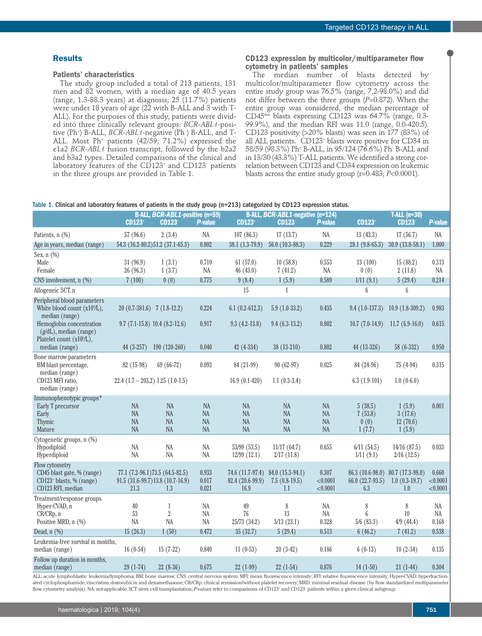## **Results**

#### **Patients' characteristics**

The study group included a total of 213 patients, 131 men and 82 women, with a median age of 40.5 years (range, 1.3-88.3 years) at diagnosis; 25  $(11.7%)$  patients were under 18 years of age (22 with B-ALL and 3 with T-ALL). For the purposes of this study, patients were divided into three clinically relevant groups: *BCR-ABL1*-positive (Ph<sup>+</sup>) B-ALL*, BCR-ABL1-*negative (Ph<sup>-</sup>) B-ALL, and T-ALL. Most Ph<sup>+</sup> patients (42/59; 71.2%) expressed the e1a2 *BCR-ABL1* fusion transcript, followed by the b2a2 and b3a2 types. Detailed comparisons of the clinical and laboratory features of the CD123<sup>+</sup> and CD123<sup>-</sup> patients in the three groups are provided in Table 1.

## **CD123 expression by multicolor/multiparameter flow cytometry in patients' samples**

The median number of blasts detected by multicolor/multiparameter flow cytometry across the entire study group was 76.5% (range, 7.2-98.0%) and did not differ between the three groups (*P*=0.872). When the entire group was considered, the median percentage of  $CD45<sup>dim</sup>$  blasts expressing CD123 was 64.7% (range, 0.3-99.9%), and the median RFI was 11.0 (range, 0.0-420.5). CD123 positivity (>20% blasts) was seen in 177 (83%) of all ALL patients. CD123+ blasts were positive for CD34 in 58/59 (98.3%) Ph+ B-ALL, in 95/124 (76.6%) Ph– B-ALL and in 13/30 (43.3%) T-ALL patients. We identified a strong correlation between CD123 and CD34 expression on leukemic blasts across the entire study group (r=0.483; *P*<0.0001).

#### Table 1. Clinical and laboratory features of patients in the study group (n=213) categorized by CD123 expression status.

|                                                                                                           |                                                         | <b>B-ALL, BCR-ABL1-positive (n=59)</b>                                       |                                                  |                                    | <b>B-ALL, BCR-ABL1-negative (n=124)</b>                     |                                                  |                                             | <b>T-ALL (n=30)</b>                        |                               |
|-----------------------------------------------------------------------------------------------------------|---------------------------------------------------------|------------------------------------------------------------------------------|--------------------------------------------------|------------------------------------|-------------------------------------------------------------|--------------------------------------------------|---------------------------------------------|--------------------------------------------|-------------------------------|
|                                                                                                           | <b>CD123</b> <sup>+</sup>                               | <b>CD123</b>                                                                 | <b>P-value</b>                                   | <b>CD123</b>                       | <b>CD123-</b>                                               | <b>P-value</b>                                   | <b>CD123</b>                                | <b>CD123-</b>                              | <b>P-value</b>                |
| Patients, n (%)                                                                                           | 57 (96.6)                                               | 2(3.4)                                                                       | <b>NA</b>                                        | 107(86.3)                          | 17(13.7)                                                    | <b>NA</b>                                        | 13(43.3)                                    | 17(56.7)                                   | <b>NA</b>                     |
| Age in years, median (range)                                                                              |                                                         | 54.3 (16.2-80.2) 51.2 (37.1-65.3)                                            | 0.802                                            | $38.1(1.3-79.9)$                   | 56.0 $(10.3 - 88.3)$                                        | 0.229                                            | $28.1(9.8-65.3)$                            | $30.9(13.8-58.1)$                          | 1.000                         |
| Sex, n (%)<br>Male<br>Female                                                                              | 31(96.9)<br>26 (96.3)                                   | 1(3.1)<br>1(3.7)                                                             | 0.710<br>NA                                      | 61(57.0)<br>46 (43.0)              | 10(58.8)<br>7(41.2)                                         | 0.553<br>NA                                      | 13(100)<br>0(0)                             | 15(88.2)<br>2(11.8)                        | 0.313<br>NA                   |
| CNS involvement, $n$ $(\%)$                                                                               | 7(100)                                                  | 0(0)                                                                         | 0.775                                            | 9(8.4)                             | 1(5.9)                                                      | 0.589                                            | 1/11(9.1)                                   | 5(29.4)                                    | 0.214                         |
| Allogeneic SCT, n                                                                                         |                                                         |                                                                              |                                                  | 15                                 | 1                                                           |                                                  | 6                                           | 6                                          |                               |
| Peripheral blood parameters<br>White blood count (x10 <sup>9</sup> /L),<br>median (range)                 | $20(0.7-381.6)$ 7 (1.8-12.2)                            |                                                                              | 0.224                                            | $6.1(0.2-612.3)$                   | $5.9(1.0-33.2)$                                             | 0.435                                            | $9.4(1.0-137.3)$                            | $10.9(1.8-309.2)$                          | 0.983                         |
| Hemoglobin concentration<br>$(g/dL)$ , median (range)<br>Platelet count (x10%L),                          |                                                         | $9.7$ (7.1-15.8) 10.4 (8.2-12.6)                                             | 0.917                                            | $9.3(4.2-13.8)$                    | $9.4(6.3-13.2)$                                             | 0.802                                            | $10.7(7.0-14.9)$                            | $11.7(6.9-16.0)$                           | 0.615                         |
| median (range)                                                                                            | 44 (3-257)                                              | 190 (120-260)                                                                | 0.040                                            | 42 (4-334)                         | 38 (13-210)                                                 | 0.802                                            | 44 (13-326)                                 | 58 (6-332)                                 | 0.950                         |
| Bone marrow parameters<br>BM blast percentage,<br>median (range)<br>CD123 MFI ratio,<br>median (range)    | 82 (15-98)<br>$22.4$ $(1.7 - 203.2)$ 1.25 $(1.0 - 1.5)$ | 69 (66-72)                                                                   | 0.093                                            | 84 (21-99)<br>$16.9(0.1-420)$      | $90(62-97)$<br>$1.1(0.3-3.4)$                               | 0.025                                            | 84 (24-96)<br>$6.3(1.9-101)$                | $75(4-94)$<br>$1.0(0-6.0)$                 | 0.315                         |
| Immunophenotypic groups*<br>Early T precursor<br>Early<br>Thymic<br>Mature                                | <b>NA</b><br>NA<br><b>NA</b><br>NA                      | <b>NA</b><br>NA<br><b>NA</b><br>NA                                           | <b>NA</b><br><b>NA</b><br><b>NA</b><br><b>NA</b> | <b>NA</b><br>NA<br><b>NA</b><br>NA | <b>NA</b><br><b>NA</b><br><b>NA</b><br><b>NA</b>            | <b>NA</b><br><b>NA</b><br><b>NA</b><br><b>NA</b> | 5(38.5)<br>7(53.8)<br>0(0)<br>1(7.7)        | 1(5.9)<br>3(17.6)<br>12(70.6)<br>1(5.9)    | 0.001                         |
| Cytogenetic groups, n (%)<br>Hypodiploid<br>Hyperdiploid                                                  | NA<br>NA                                                | <b>NA</b><br>NA                                                              | <b>NA</b><br>NA                                  | 53/99 (53.5)<br>12/99(12.1)        | 11/17(64.7)<br>2/17(11.8)                                   | 0.655                                            | 6/11(54.5)<br>1/11(9.1)                     | 14/16(87.5)<br>2/16(12.5)                  | 0.033                         |
| Flow cytometry<br>CD45 blast gate, % (range)<br>CD123 <sup>+</sup> blasts, % (range)<br>CD123 RFI, median | 21.3                                                    | 77.1 (7.2-96.1) 73.5 (64.5-82.5)<br>91.5 (31.6-99.7) 13.8 (10.7-16.9)<br>1.3 | 0.933<br>0.017<br>0.021                          | 82.4 (20.6-99.9)<br>16.9           | 74.6 (11.7-97.4) 84.0 (15.3-94.1)<br>$7.5(0.8-19.5)$<br>1.1 | 0.307<br>< 0.0001<br>< 0.0001                    | 86.3 (10.6-98.0)<br>66.0 (22.7-93.5)<br>6.3 | 80.7 (17.3-98.0)<br>$1.0(0.3-19.7)$<br>1.0 | 0.660<br>< 0.0001<br>< 0.0001 |
| Treatment/response groups<br>Hyper-CVAD, n<br>CR/CRp, n<br>Positive MRD, n (%)                            | 40<br>53<br><b>NA</b>                                   | $\mathbf{1}$<br>$\sqrt{2}$<br>NA                                             | NA<br><b>NA</b><br><b>NA</b>                     | 49<br>76<br>25/73 (34.2)           | 8<br>13<br>3/13(23.1)                                       | NA<br><b>NA</b><br>0.328                         | $\,$ $\,$<br>6<br>5/6(83.3)                 | 8<br>10 <sup>1</sup><br>$4/9$ $(44.4)$     | NA<br><b>NA</b><br>0.168      |
| Dead, $n$ $(\%)$                                                                                          | 15(26.3)                                                | 1(50)                                                                        | 0.472                                            | 35(32.7)                           | 5(29.4)                                                     | 0.513                                            | 6(46.2)                                     | 7(41.2)                                    | 0.538                         |
| Leukemia-free survival in months,<br>median (range)                                                       | $16(0-54)$                                              | $15(7-22)$                                                                   | 0.840                                            | $11(0-53)$                         | $20(3-42)$                                                  | 0.186                                            | $6(0-13)$                                   | $10(2-34)$                                 | 0.135                         |
| Follow up duration in months,<br>median (range)                                                           | $29(1-74)$                                              | $22(8-36)$                                                                   | 0.675                                            | $22(1-99)$                         | $22(1-54)$                                                  | 0.876                                            | $14(1-50)$                                  | $21(1-44)$                                 | 0.304                         |

ALL: acute lymphoblastic leukemia/lymphoma; BM: bone marrow; CNS: central nervous system; MFI: mean fluorescence intensity; RFI: relative fluorescence intensity; Hyper-CVAD: hyperfractionated cyclophosphamide, vincristine, doxorubicin and dexamethasone; CR/CRp: clinical remission/without platelet recovery; MRD: minimal residual disease (by flow standardized multiparameter flow cytometry analysis). NA: not-applicable, SCT: stem cell transplantation; *P*-values refer to comparisons of CD123<sup>+</sup> and CD123<sup>-</sup> patients within a given clinical subgroup.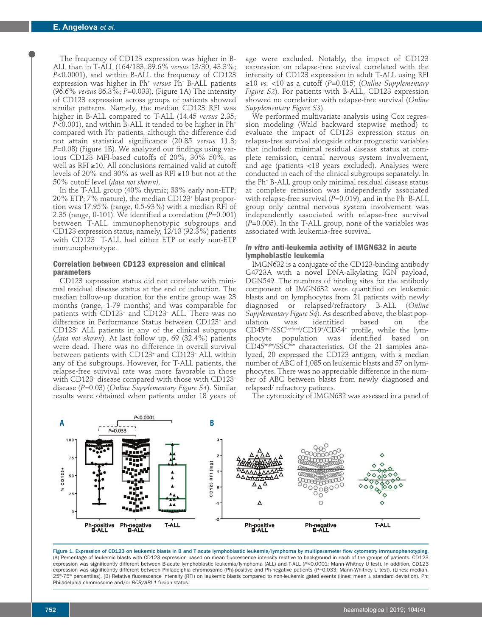The frequency of CD123 expression was higher in B-ALL than in T-ALL (164/183, 89.6% *versus* 13/30, 43.3%; *P*<0.0001), and within B-ALL the frequency of CD123 expression was higher in Ph+ *versus* Ph– B-ALL patients (96.6% *versus* 86.3%; *P*=0.033). (Figure 1A) The intensity of CD123 expression across groups of patients showed similar patterns. Namely, the median CD123 RFI was higher in B-ALL compared to T-ALL (14.45 *versus* 2.35;  $P<0.001$ ), and within B-ALL it tended to be higher in  $Ph<sup>+</sup>$ compared with Ph– patients, although the difference did not attain statistical significance (20.85 *versus* 11.8; *P*=0.08) (Figure 1B). We analyzed our findings using various CD123 MFI-based cutoffs of 20%, 30% 50%, as well as RFI ≥10. All conclusions remained valid at cutoff levels of 20% and 30% as well as RFI ≥10 but not at the 50% cutoff level (*data not shown)*.

In the T-ALL group (40% thymic; 33% early non-ETP; 20% ETP; 7% mature), the median CD123+ blast proportion was 17.95% (range, 0.5-93%) with a median RFI of 2.35 (range, 0-101). We identified a correlation (*P*=0.001) between T-ALL immunophenotypic subgroups and CD123 expression status; namely, 12/13 (92.3%) patients with CD123+ T-ALL had either ETP or early non-ETP immunophenotype.

## **Correlation between CD123 expression and clinical parameters**

CD123 expression status did not correlate with minimal residual disease status at the end of induction. The median follow-up duration for the entire group was 23 months (range, 1-79 months) and was comparable for patients with CD123<sup>+</sup> and CD123<sup>-</sup> ALL. There was no difference in Performance Status between CD123+ and CD123– ALL patients in any of the clinical subgroups (*data not shown*). At last follow up, 69 (32.4%) patients were dead. There was no difference in overall survival between patients with CD123<sup>+</sup> and CD123<sup>-</sup> ALL within any of the subgroups. However, for T-ALL patients, the relapse-free survival rate was more favorable in those with CD123– disease compared with those with CD123+ disease (*P*=0.03) (*Online Supplementary Figure S1*). Similar results were obtained when patients under 18 years of

age were excluded. Notably, the impact of CD123 expression on relapse-free survival correlated with the intensity of CD123 expression in adult T-ALL using RFI ≥10 *vs.* <10 as a cutoff (*P*=0.015) (*Online Supplementary Figure S2*). For patients with B-ALL, CD123 expression showed no correlation with relapse-free survival (*Online Supplementary Figure S3*).

We performed multivariate analysis using Cox regression modeling (Wald backward stepwise method) to evaluate the impact of CD123 expression status on relapse-free survival alongside other prognostic variables that included: minimal residual disease status at complete remission, central nervous system involvement, and age (patients <18 years excluded). Analyses were conducted in each of the clinical subgroups separately. In the Ph+ B-ALL group only minimal residual disease status at complete remission was independently associated with relapse-free survival (P=0.019), and in the Ph<sup>-</sup> B-ALL group only central nervous system involvement was independently associated with relapse-free survival (*P*=0.005). In the T-ALL group, none of the variables was associated with leukemia-free survival.

#### *In vitro* **anti-leukemia activity of IMGN632 in acute lymphoblastic leukemia**

IMGN632 is a conjugate of the CD123-binding antibody G4723A with a novel DNA-alkylating IGN payload, DGN549. The numbers of binding sites for the antibody component of IMGN632 were quantified on leukemic blasts and on lymphocytes from 21 patients with newly diagnosed or relapsed/refractory B-ALL (*Online Supplementary Figure S4*). As described above, the blast popwas identified based on the CD45<sup>dim</sup>/SSC<sup>low/med</sup>/CD19<sup>+</sup>/CD34<sup>+</sup> profile, while the lymphocyte population was identified based on CD45bright/SSClow characteristics. Of the 21 samples analyzed, 20 expressed the CD123 antigen, with a median number of ABC of 1,085 on leukemic blasts and 57 on lymphocytes. There was no appreciable difference in the number of ABC between blasts from newly diagnosed and relapsed/ refractory patients.

The cytotoxicity of IMGN632 was assessed in a panel of



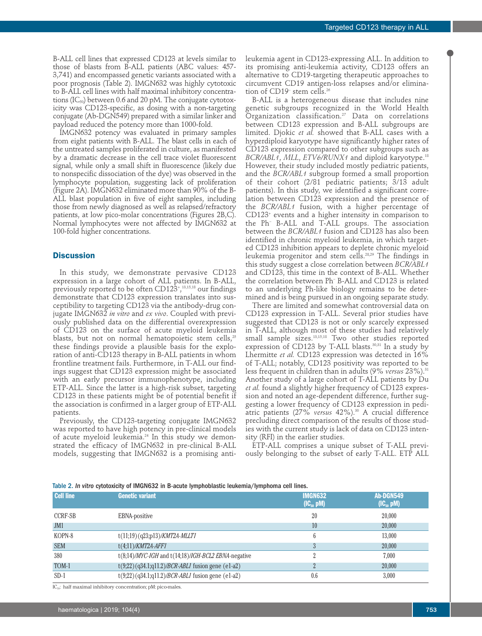B-ALL cell lines that expressed CD123 at levels similar to those of blasts from B-ALL patients (ABC values: 457- 3,741) and encompassed genetic variants associated with a poor prognosis (Table 2). IMGN632 was highly cytotoxic to B-ALL cell lines with half maximal inhibitory concentrations (IC<sub>50</sub>) between 0.6 and 20 pM. The conjugate cytotoxicity was CD123-specific, as dosing with a non-targeting conjugate (Ab-DGN549) prepared with a similar linker and payload reduced the potency more than 1000-fold.

IMGN632 potency was evaluated in primary samples from eight patients with B-ALL. The blast cells in each of the untreated samples proliferated in culture, as manifested by a dramatic decrease in the cell trace violet fluorescent signal, while only a small shift in fluorescence (likely due to nonspecific dissociation of the dye) was observed in the lymphocyte population, suggesting lack of proliferation (Figure 2A). IMGN632 eliminated more than 90% of the B-ALL blast population in five of eight samples, including those from newly diagnosed as well as relapsed/refractory patients, at low pico-molar concentrations (Figures 2B,C). Normal lymphocytes were not affected by IMGN632 at 100-fold higher concentrations.

#### **Discussion**

In this study, we demonstrate pervasive CD123 expression in a large cohort of ALL patients. In B-ALL, previously reported to be often CD123+ , 13,15,18 our findings demonstrate that CD123 expression translates into susceptibility to targeting CD123 via the antibody-drug conjugate IMGN632 *in vitro* and *ex vivo*. Coupled with previously published data on the differential overexpression of CD123 on the surface of acute myeloid leukemia blasts, but not on normal hematopoietic stem cells,  $25$ these findings provide a plausible basis for the exploration of anti-CD123 therapy in B-ALL patients in whom frontline treatment fails. Furthermore, in T-ALL our findings suggest that CD123 expression might be associated with an early precursor immunophenotype, including ETP-ALL. Since the latter is a high-risk subset, targeting CD123 in these patients might be of potential benefit if the association is confirmed in a larger group of ETP-ALL patients.

Previously, the CD123-targeting conjugate IMGN632 was reported to have high potency in pre-clinical models of acute myeloid leukemia.<sup>24</sup> In this study we demonstrated the efficacy of IMGN632 in pre-clinical B-ALL models, suggesting that IMGN632 is a promising antileukemia agent in CD123-expressing ALL. In addition to its promising anti-leukemia activity, CD123 offers an alternative to CD19-targeting therapeutic approaches to circumvent CD19 antigen-loss relapses and/or elimination of CD19<sup>-</sup> stem cells.<sup>26</sup>

B-ALL is a heterogeneous disease that includes nine genetic subgroups recognized in the World Health Organization classification.27 Data on correlations between CD123 expression and B-ALL subgroups are limited. Djokic *et al.* showed that B-ALL cases with a hyperdiploid karyotype have significantly higher rates of CD123 expression compared to other subgroups such as *BCR/ABL1*, *MLL*, *ETV6/RUNX1* and diploid karyotype.18 However, their study included mostly pediatric patients, and the *BCR/ABL1* subgroup formed a small proportion of their cohort (2/81 pediatric patients; 3/13 adult patients). In this study, we identified a significant correlation between CD123 expression and the presence of the *BCR/ABL1* fusion, with a higher percentage of CD123+ events and a higher intensity in comparison to the Ph– B-ALL and T-ALL groups. The association between the *BCR/ABL1* fusion and CD123 has also been identified in chronic myeloid leukemia, in which targeted CD123 inhibition appears to deplete chronic myeloid leukemia progenitor and stem cells.<sup>28,29</sup> The findings in this study suggest a close correlation between *BCR/ABL1* and CD123, this time in the context of B-ALL. Whether the correlation between Ph– B-ALL and CD123 is related to an underlying Ph-like biology remains to be determined and is being pursued in an ongoing separate study.

There are limited and somewhat controversial data on CD123 expression in T-ALL. Several prior studies have suggested that CD123 is not or only scarcely expressed in T-ALL, although most of these studies had relatively small sample sizes.13,15,18 Two other studies reported expression of CD123 by T-ALL blasts.<sup>30,31</sup> In a study by Lhermitte *et al.* CD123 expression was detected in 16% of T-ALL; notably, CD123 positivity was reported to be less frequent in children than in adults (9% *versus* 23%).31 Another study of a large cohort of T-ALL patients by Du *et al.* found a slightly higher frequency of CD123 expression and noted an age-dependent difference, further suggesting a lower frequency of CD123 expression in pediatric patients (27% *versus* 42%).30 A crucial difference precluding direct comparison of the results of those studies with the current study is lack of data on CD123 intensity (RFI) in the earlier studies.

ETP-ALL comprises a unique subset of T-ALL previously belonging to the subset of early T-ALL. ETP ALL

Table 2. *In vitro* cytotoxicity of IMGN632 in B-acute lymphoblastic leukemia/lymphoma cell lines.

| Cell line  | <b>Genetic variant</b>                                       | <b>IMGN632</b><br>$(IC_{50}$ pM) | Ab-DGN549<br>$(IC_{50}$ pM) |
|------------|--------------------------------------------------------------|----------------------------------|-----------------------------|
| CCRF-SB    | EBNA-positive                                                | 20                               | 20,000                      |
| JM1        |                                                              | 10                               | 20,000                      |
| KOPN-8     | $t(11;19)$ (q23;p13)/ <i>KMT2A-MLLT1</i>                     | h                                | 13,000                      |
| <b>SEM</b> | $t(4;11)/KMT2A-AFF1$                                         |                                  | 20,000                      |
| 380        | $t(8,14)/MYC$ -IGH and $t(14,18)/IGH-BCL2$ EBNA-negative     |                                  | 7.000                       |
| TOM-1      | $t(9,22)$ (q34.1;q11.2)/ <i>BCR-ABL1</i> fusion gene (e1-a2) |                                  | 20,000                      |
| $SD-1$     | $t(9,22)$ (q34.1;q11.2)/ <i>BCR-ABL1</i> fusion gene (e1-a2) | 0.6                              | 3,000                       |

IC<sub>50</sub>: half maximal inhibitory concentration; pM: pico-males.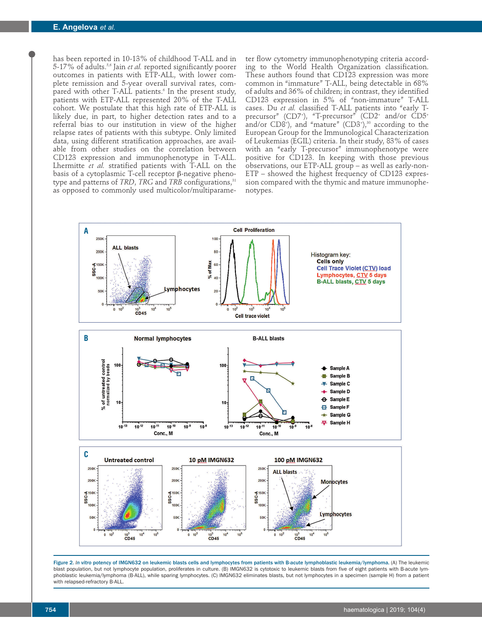has been reported in 10-13% of childhood T-ALL and in 5-17% of adults.5,6 Jain *et al.* reported significantly poorer outcomes in patients with ETP-ALL, with lower complete remission and 5-year overall survival rates, compared with other T-ALL patients.<sup>6</sup> In the present study, patients with ETP-ALL represented 20% of the T-ALL cohort. We postulate that this high rate of ETP-ALL is likely due, in part, to higher detection rates and to a referral bias to our institution in view of the higher relapse rates of patients with this subtype. Only limited data, using different stratification approaches, are available from other studies on the correlation between CD123 expression and immunophenotype in T-ALL. Lhermitte *et al.* stratified patients with T-ALL on the basis of a cytoplasmic T-cell receptor β-negative phenotype and patterns of *TRD*, *TRG* and *TRB* configurations,<sup>31</sup> as opposed to commonly used multicolor/multiparameter flow cytometry immunophenotyping criteria according to the World Health Organization classification. These authors found that CD123 expression was more common in "immature" T-ALL, being detectable in 68% of adults and 36% of children; in contrast, they identified CD123 expression in 5% of "non-immature" T-ALL cases. Du *et al.* classified T-ALL patients into "early Tprecursor" (CD7+ ), "T-precursor" (CD2+ and/or CD5+ and/or  $C D8^{\dagger}$ ), and "mature"  $(C D3^{\dagger})^{\mathfrak{g}_0}$  according to the European Group for the Immunological Characterization of Leukemias (EGIL) criteria. In their study, 83% of cases with an "early T-precursor" immunophenotype were positive for CD123. In keeping with those previous observations, our ETP-ALL group – as well as early-non-ETP – showed the highest frequency of CD123 expression compared with the thymic and mature immunophenotypes.



Figure 2. *In vitro* potency of IMGN632 on leukemic blasts cells and lymphocytes from patients with B-acute lymphoblastic leukemia/lymphoma. (A) The leukemic blast population, but not lymphocyte population, proliferates in culture. (B) IMGN632 is cytotoxic to leukemic blasts from five of eight patients with B-acute lymphoblastic leukemia/lymphoma (B-ALL), while sparing lymphocytes. (C) IMGN632 eliminates blasts, but not lymphocytes in a specimen (sample H) from a patient with relapsed-refractory B-ALL.